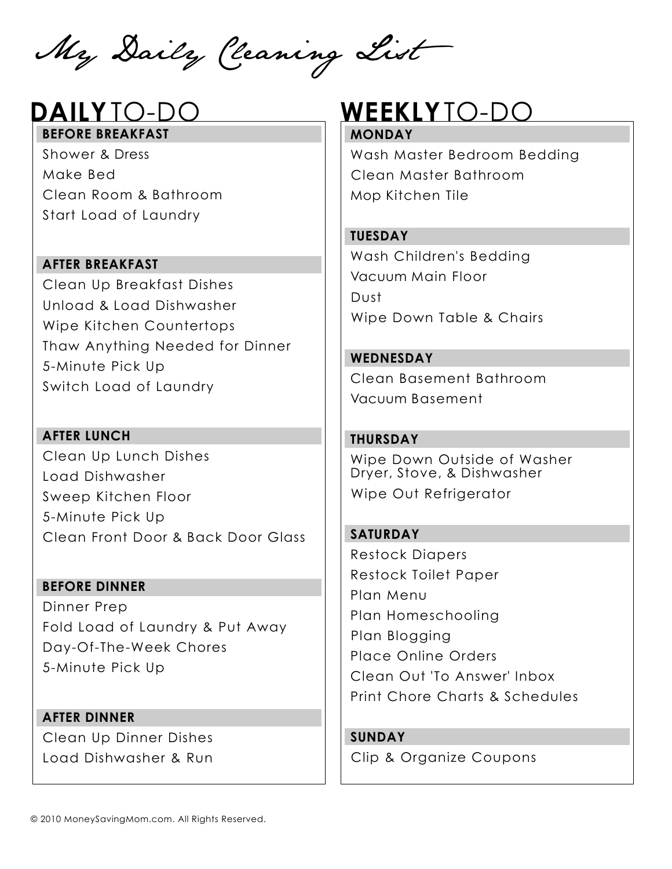My Daily Cleaning List

# **BEFORE BREAKFAST**

Shower & Dress Make Bed Clean Room & Bathroom Start Load of Laundry

#### **AFTER BREAKFAST**

Clean Up Breakfast Dishes Unload & Load Dishwasher Wipe Kitchen Countertops Thaw Anything Needed for Dinner 5-Minute Pick Up Switch Load of Laundry

**AFTER LUNCH** Clean Up Lunch Dishes Load Dishwasher Sweep Kitchen Floor 5-Minute Pick Up Clean Front Door & Back Door Glass

**BEFORE DINNER** Dinner Prep Fold Load of Laundry & Put Away Day-Of-The-Week Chores 5-Minute Pick Up

**AFTER DINNER** Clean Up Dinner Dishes Load Dishwasher & Run

# **DAILY**TO-DO **WEEKLY**TO-DO

#### **MONDAY**

Wash Master Bedroom Bedding Clean Master Bathroom Mop Kitchen Tile

#### **TUESDAY**

Wash Children's Bedding Vacuum Main Floor Dust Wipe Down Table & Chairs

**WEDNESDAY** Clean Basement Bathroom Vacuum Basement

### **THURSDAY**

Wipe Down Outside of Washer Dryer, Stove, & Dishwasher Wipe Out Refrigerator

**SATURDAY** Restock Diapers Restock Toilet Paper Plan Menu Plan Homeschooling Plan Blogging Place Online Orders Clean Out 'To Answer' Inbox Print Chore Charts & Schedules

**SUNDAY** Clip & Organize Coupons